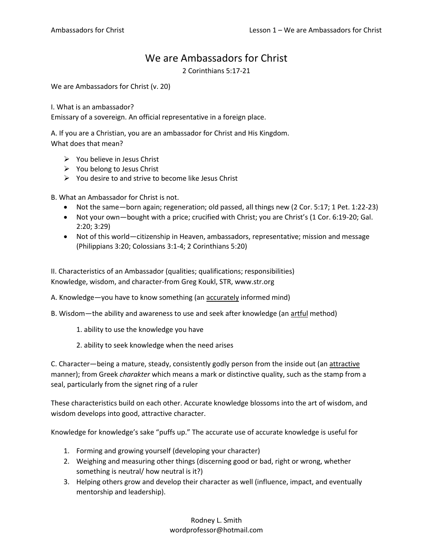## We are Ambassadors for Christ

2 Corinthians 5:17-21

We are Ambassadors for Christ (v. 20)

I. What is an ambassador?

Emissary of a sovereign. An official representative in a foreign place.

A. If you are a Christian, you are an ambassador for Christ and His Kingdom. What does that mean?

- ➢ You believe in Jesus Christ
- $\triangleright$  You belong to Jesus Christ
- $\triangleright$  You desire to and strive to become like Jesus Christ

B. What an Ambassador for Christ is not.

- Not the same—born again; regeneration; old passed, all things new (2 Cor. 5:17; 1 Pet. 1:22-23)
- Not your own—bought with a price; crucified with Christ; you are Christ's (1 Cor. 6:19-20; Gal. 2:20; 3:29)
- Not of this world—citizenship in Heaven, ambassadors, representative; mission and message (Philippians 3:20; Colossians 3:1-4; 2 Corinthians 5:20)

II. Characteristics of an Ambassador (qualities; qualifications; responsibilities) Knowledge, wisdom, and character-from Greg Koukl, STR, www.str.org

A. Knowledge—you have to know something (an accurately informed mind)

B. Wisdom—the ability and awareness to use and seek after knowledge (an artful method)

- 1. ability to use the knowledge you have
- 2. ability to seek knowledge when the need arises

C. Character—being a mature, steady, consistently godly person from the inside out (an attractive manner); from Greek *charakter* which means a mark or distinctive quality, such as the stamp from a seal, particularly from the signet ring of a ruler

These characteristics build on each other. Accurate knowledge blossoms into the art of wisdom, and wisdom develops into good, attractive character.

Knowledge for knowledge's sake "puffs up." The accurate use of accurate knowledge is useful for

- 1. Forming and growing yourself (developing your character)
- 2. Weighing and measuring other things (discerning good or bad, right or wrong, whether something is neutral/ how neutral is it?)
- 3. Helping others grow and develop their character as well (influence, impact, and eventually mentorship and leadership).

Rodney L. Smith wordprofessor@hotmail.com